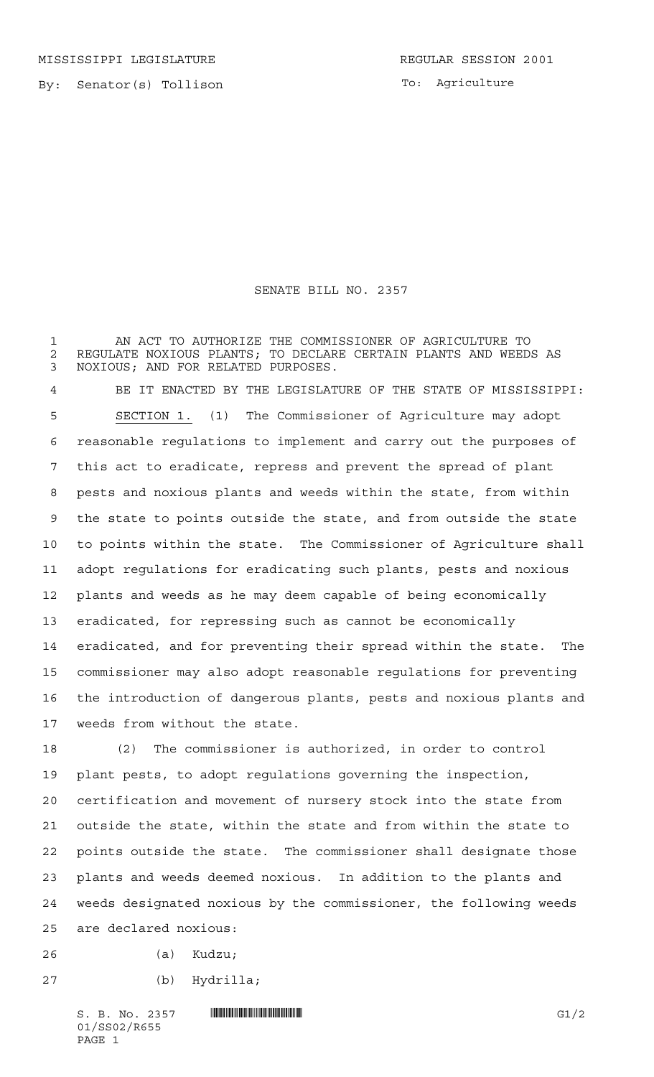MISSISSIPPI LEGISLATURE **REGULAR SESSION 2001** 

By: Senator(s) Tollison

SENATE BILL NO. 2357

 AN ACT TO AUTHORIZE THE COMMISSIONER OF AGRICULTURE TO 2 REGULATE NOXIOUS PLANTS; TO DECLARE CERTAIN PLANTS AND WEEDS AS<br>3 NOXIOUS: AND FOR RELATED PURPOSES. NOXIOUS; AND FOR RELATED PURPOSES.

 BE IT ENACTED BY THE LEGISLATURE OF THE STATE OF MISSISSIPPI: SECTION 1. (1) The Commissioner of Agriculture may adopt reasonable regulations to implement and carry out the purposes of this act to eradicate, repress and prevent the spread of plant pests and noxious plants and weeds within the state, from within the state to points outside the state, and from outside the state to points within the state. The Commissioner of Agriculture shall adopt regulations for eradicating such plants, pests and noxious plants and weeds as he may deem capable of being economically eradicated, for repressing such as cannot be economically eradicated, and for preventing their spread within the state. The commissioner may also adopt reasonable regulations for preventing the introduction of dangerous plants, pests and noxious plants and weeds from without the state.

 (2) The commissioner is authorized, in order to control plant pests, to adopt regulations governing the inspection, certification and movement of nursery stock into the state from outside the state, within the state and from within the state to points outside the state. The commissioner shall designate those plants and weeds deemed noxious. In addition to the plants and weeds designated noxious by the commissioner, the following weeds are declared noxious:

- (a) Kudzu;
- (b) Hydrilla;

 $S. B. No. 2357$  **INIFICANTIFICANT INTERNATIONAL CONSUMING A** G1/2 01/SS02/R655 PAGE 1